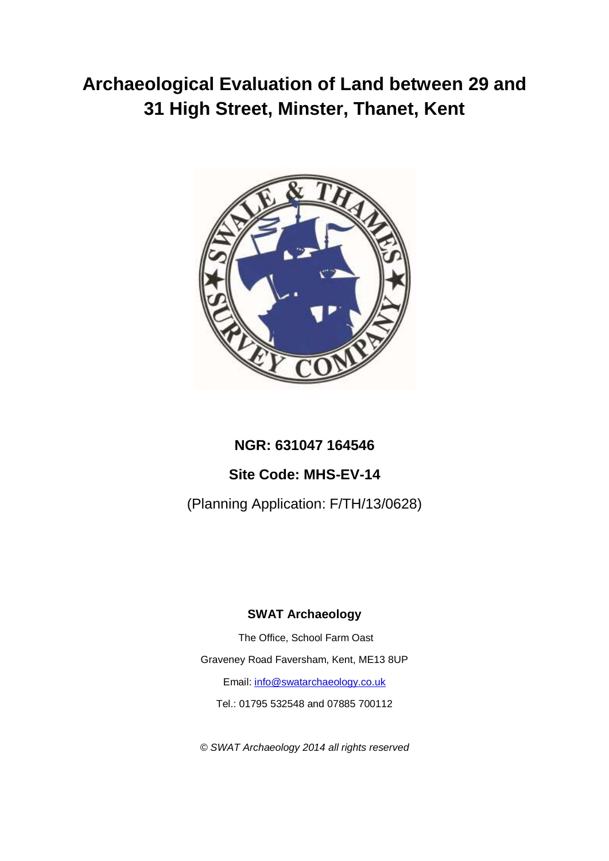# **Archaeological Evaluation of Land between 29 and 31 High Street, Minster, Thanet, Kent**



# **NGR: 631047 164546**

# **Site Code: MHS-EV-14**

(Planning Application: F/TH/13/0628)

# **SWAT Archaeology**

The Office, School Farm Oast Graveney Road Faversham, Kent, ME13 8UP Email: [info@swatarchaeology.co.uk](mailto:info@swatarchaeology.co.uk)  Tel.: 01795 532548 and 07885 700112

*© SWAT Archaeology 2014 all rights reserved*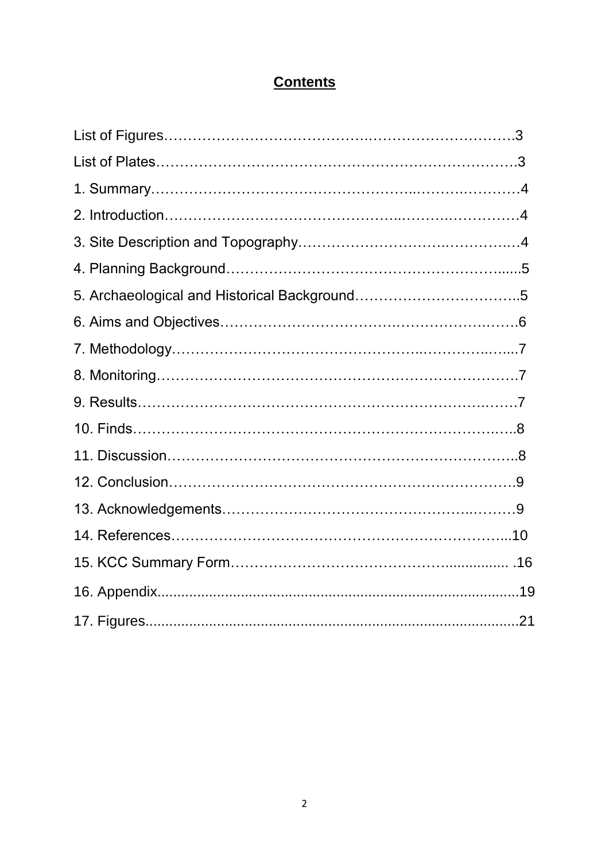# **Contents**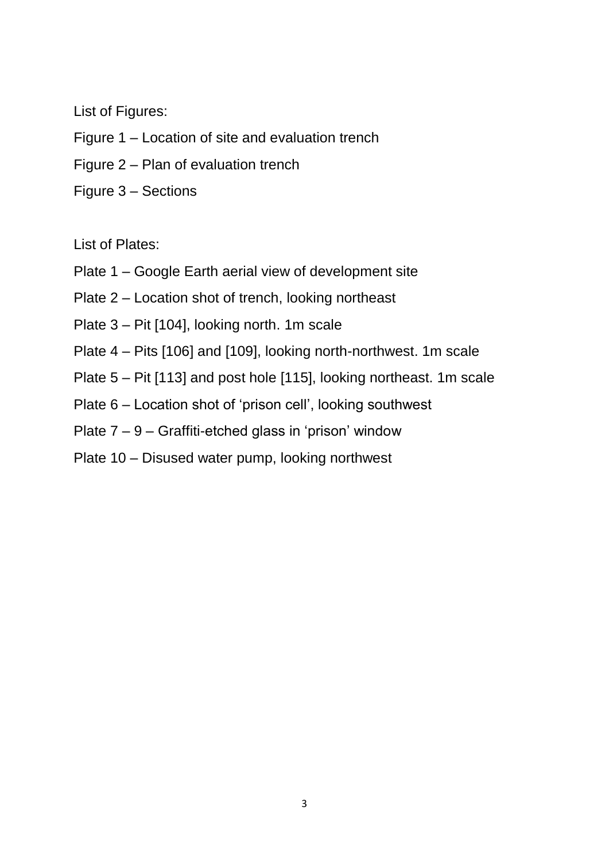List of Figures:

- Figure 1 Location of site and evaluation trench
- Figure 2 Plan of evaluation trench
- Figure 3 Sections

List of Plates:

- Plate 1 Google Earth aerial view of development site
- Plate 2 Location shot of trench, looking northeast
- Plate 3 Pit [104], looking north. 1m scale
- Plate 4 Pits [106] and [109], looking north-northwest. 1m scale
- Plate 5 Pit [113] and post hole [115], looking northeast. 1m scale
- Plate 6 Location shot of 'prison cell', looking southwest
- Plate 7 9 Graffiti-etched glass in 'prison' window
- Plate 10 Disused water pump, looking northwest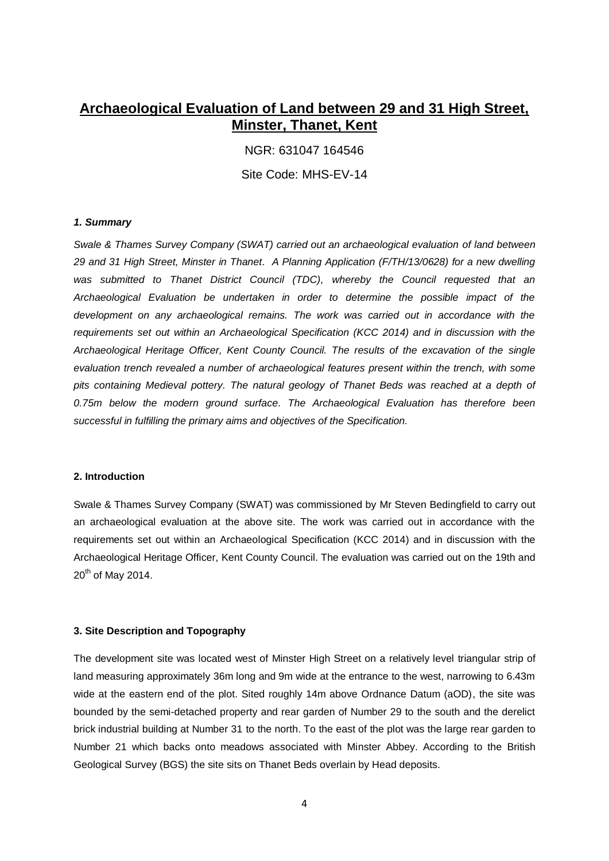# **Archaeological Evaluation of Land between 29 and 31 High Street, Minster, Thanet, Kent**

NGR: 631047 164546

Site Code: MHS-EV-14

#### *1. Summary*

*Swale & Thames Survey Company (SWAT) carried out an archaeological evaluation of land between 29 and 31 High Street, Minster in Thanet. A Planning Application (F/TH/13/0628) for a new dwelling*  was submitted to Thanet District Council (TDC), whereby the Council requested that an *Archaeological Evaluation be undertaken in order to determine the possible impact of the development on any archaeological remains. The work was carried out in accordance with the requirements set out within an Archaeological Specification (KCC 2014) and in discussion with the Archaeological Heritage Officer, Kent County Council. The results of the excavation of the single evaluation trench revealed a number of archaeological features present within the trench, with some pits containing Medieval pottery. The natural geology of Thanet Beds was reached at a depth of 0.75m below the modern ground surface. The Archaeological Evaluation has therefore been successful in fulfilling the primary aims and objectives of the Specification.* 

#### **2. Introduction**

Swale & Thames Survey Company (SWAT) was commissioned by Mr Steven Bedingfield to carry out an archaeological evaluation at the above site. The work was carried out in accordance with the requirements set out within an Archaeological Specification (KCC 2014) and in discussion with the Archaeological Heritage Officer, Kent County Council. The evaluation was carried out on the 19th and  $20^{th}$  of May 2014.

#### **3. Site Description and Topography**

The development site was located west of Minster High Street on a relatively level triangular strip of land measuring approximately 36m long and 9m wide at the entrance to the west, narrowing to 6.43m wide at the eastern end of the plot. Sited roughly 14m above Ordnance Datum (aOD), the site was bounded by the semi-detached property and rear garden of Number 29 to the south and the derelict brick industrial building at Number 31 to the north. To the east of the plot was the large rear garden to Number 21 which backs onto meadows associated with Minster Abbey. According to the British Geological Survey (BGS) the site sits on Thanet Beds overlain by Head deposits.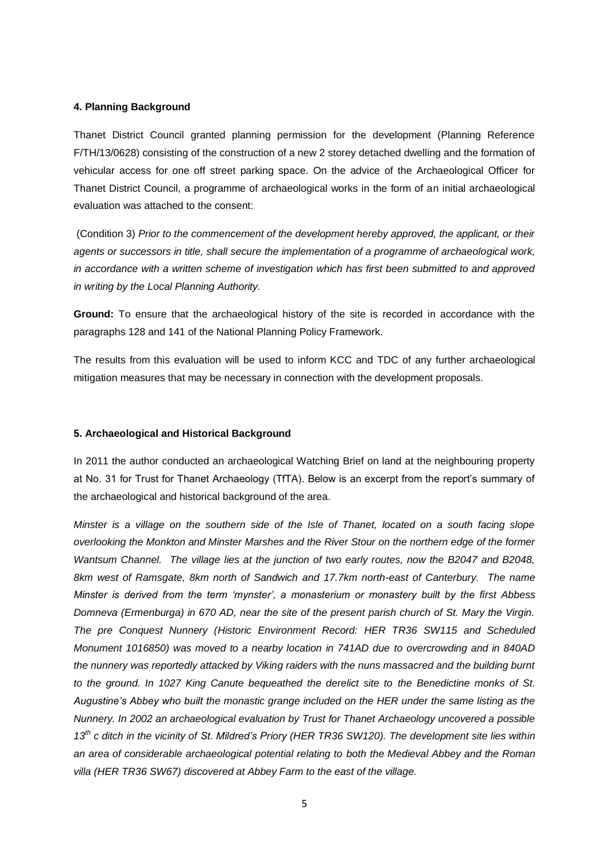#### **4. Planning Background**

Thanet District Council granted planning permission for the development (Planning Reference F/TH/13/0628) consisting of the construction of a new 2 storey detached dwelling and the formation of vehicular access for one off street parking space. On the advice of the Archaeological Officer for Thanet District Council, a programme of archaeological works in the form of an initial archaeological evaluation was attached to the consent:

 (Condition 3) *Prior to the commencement of the development hereby approved, the applicant, or their agents or successors in title, shall secure the implementation of a programme of archaeological work, in accordance with a written scheme of investigation which has first been submitted to and approved in writing by the Local Planning Authority.* 

**Ground:** To ensure that the archaeological history of the site is recorded in accordance with the paragraphs 128 and 141 of the National Planning Policy Framework.

The results from this evaluation will be used to inform KCC and TDC of any further archaeological mitigation measures that may be necessary in connection with the development proposals.

#### **5. Archaeological and Historical Background**

In 2011 the author conducted an archaeological Watching Brief on land at the neighbouring property at No. 31 for Trust for Thanet Archaeology (TfTA). Below is an excerpt from the report's summary of the archaeological and historical background of the area.

*Minster is a village on the southern side of the Isle of Thanet, located on a south facing slope overlooking the Monkton and Minster Marshes and the River Stour on the northern edge of the former Wantsum Channel. The village lies at the junction of two early routes, now the B2047 and B2048, 8km west of Ramsgate, 8km north of Sandwich and 17.7km north-east of Canterbury. The name Minster is derived from the term 'mynster', a monasterium or monastery built by the first Abbess Domneva (Ermenburga) in 670 AD, near the site of the present parish church of St. Mary the Virgin. The pre Conquest Nunnery (Historic Environment Record: HER TR36 SW115 and Scheduled Monument 1016850) was moved to a nearby location in 741AD due to overcrowding and in 840AD the nunnery was reportedly attacked by Viking raiders with the nuns massacred and the building burnt to the ground. In 1027 King Canute bequeathed the derelict site to the Benedictine monks of St. Augustine's Abbey who built the monastic grange included on the HER under the same listing as the Nunnery. In 2002 an archaeological evaluation by Trust for Thanet Archaeology uncovered a possible 13th c ditch in the vicinity of St. Mildred's Priory (HER TR36 SW120). The development site lies within an area of considerable archaeological potential relating to both the Medieval Abbey and the Roman villa (HER TR36 SW67) discovered at Abbey Farm to the east of the village.*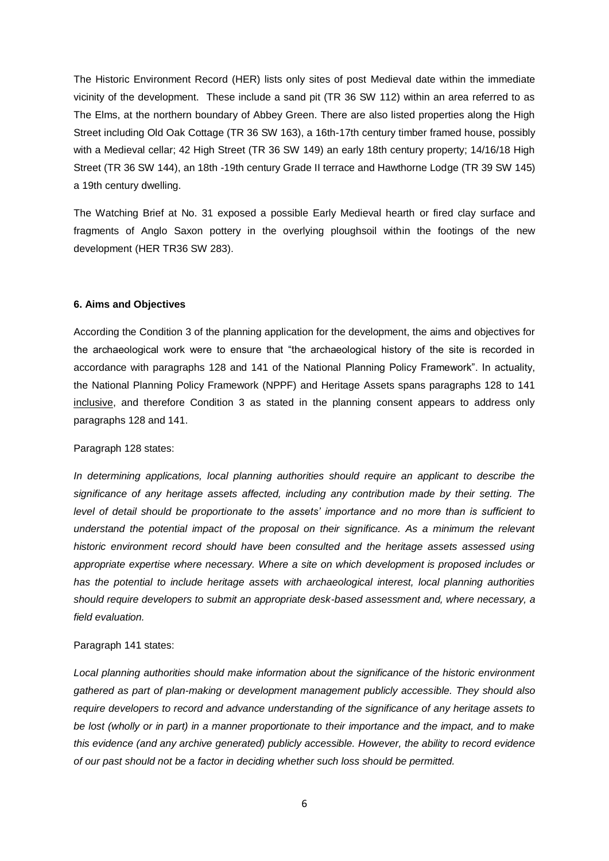The Historic Environment Record (HER) lists only sites of post Medieval date within the immediate vicinity of the development. These include a sand pit (TR 36 SW 112) within an area referred to as The Elms, at the northern boundary of Abbey Green. There are also listed properties along the High Street including Old Oak Cottage (TR 36 SW 163), a 16th-17th century timber framed house, possibly with a Medieval cellar; 42 High Street (TR 36 SW 149) an early 18th century property; 14/16/18 High Street (TR 36 SW 144), an 18th -19th century Grade II terrace and Hawthorne Lodge (TR 39 SW 145) a 19th century dwelling.

The Watching Brief at No. 31 exposed a possible Early Medieval hearth or fired clay surface and fragments of Anglo Saxon pottery in the overlying ploughsoil within the footings of the new development (HER TR36 SW 283).

#### **6. Aims and Objectives**

According the Condition 3 of the planning application for the development, the aims and objectives for the archaeological work were to ensure that "the archaeological history of the site is recorded in accordance with paragraphs 128 and 141 of the National Planning Policy Framework". In actuality, the National Planning Policy Framework (NPPF) and Heritage Assets spans paragraphs 128 to 141 inclusive, and therefore Condition 3 as stated in the planning consent appears to address only paragraphs 128 and 141.

#### Paragraph 128 states:

*In determining applications, local planning authorities should require an applicant to describe the significance of any heritage assets affected, including any contribution made by their setting. The level of detail should be proportionate to the assets' importance and no more than is sufficient to understand the potential impact of the proposal on their significance. As a minimum the relevant historic environment record should have been consulted and the heritage assets assessed using appropriate expertise where necessary. Where a site on which development is proposed includes or has the potential to include heritage assets with archaeological interest, local planning authorities should require developers to submit an appropriate desk-based assessment and, where necessary, a field evaluation.* 

#### Paragraph 141 states:

*Local planning authorities should make information about the significance of the historic environment gathered as part of plan-making or development management publicly accessible. They should also require developers to record and advance understanding of the significance of any heritage assets to be lost (wholly or in part) in a manner proportionate to their importance and the impact, and to make this evidence (and any archive generated) publicly accessible. However, the ability to record evidence of our past should not be a factor in deciding whether such loss should be permitted.*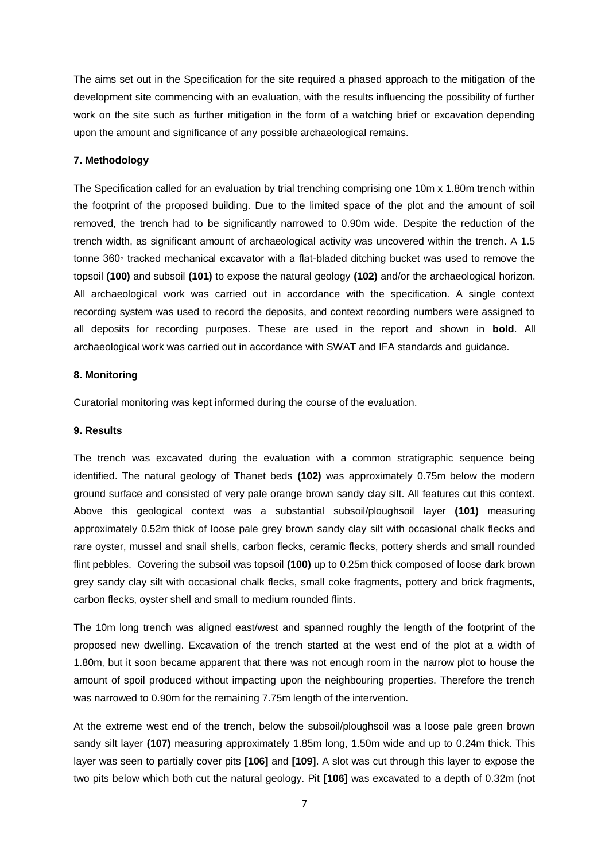The aims set out in the Specification for the site required a phased approach to the mitigation of the development site commencing with an evaluation, with the results influencing the possibility of further work on the site such as further mitigation in the form of a watching brief or excavation depending upon the amount and significance of any possible archaeological remains.

#### **7. Methodology**

The Specification called for an evaluation by trial trenching comprising one 10m x 1.80m trench within the footprint of the proposed building. Due to the limited space of the plot and the amount of soil removed, the trench had to be significantly narrowed to 0.90m wide. Despite the reduction of the trench width, as significant amount of archaeological activity was uncovered within the trench. A 1.5 tonne 360◦ tracked mechanical excavator with a flat-bladed ditching bucket was used to remove the topsoil **(100)** and subsoil **(101)** to expose the natural geology **(102)** and/or the archaeological horizon. All archaeological work was carried out in accordance with the specification. A single context recording system was used to record the deposits, and context recording numbers were assigned to all deposits for recording purposes. These are used in the report and shown in **bold**. All archaeological work was carried out in accordance with SWAT and IFA standards and guidance.

#### **8. Monitoring**

Curatorial monitoring was kept informed during the course of the evaluation.

#### **9. Results**

The trench was excavated during the evaluation with a common stratigraphic sequence being identified. The natural geology of Thanet beds **(102)** was approximately 0.75m below the modern ground surface and consisted of very pale orange brown sandy clay silt. All features cut this context. Above this geological context was a substantial subsoil/ploughsoil layer **(101)** measuring approximately 0.52m thick of loose pale grey brown sandy clay silt with occasional chalk flecks and rare oyster, mussel and snail shells, carbon flecks, ceramic flecks, pottery sherds and small rounded flint pebbles. Covering the subsoil was topsoil **(100)** up to 0.25m thick composed of loose dark brown grey sandy clay silt with occasional chalk flecks, small coke fragments, pottery and brick fragments, carbon flecks, oyster shell and small to medium rounded flints.

The 10m long trench was aligned east/west and spanned roughly the length of the footprint of the proposed new dwelling. Excavation of the trench started at the west end of the plot at a width of 1.80m, but it soon became apparent that there was not enough room in the narrow plot to house the amount of spoil produced without impacting upon the neighbouring properties. Therefore the trench was narrowed to 0.90m for the remaining 7.75m length of the intervention.

At the extreme west end of the trench, below the subsoil/ploughsoil was a loose pale green brown sandy silt layer **(107)** measuring approximately 1.85m long, 1.50m wide and up to 0.24m thick. This layer was seen to partially cover pits **[106]** and **[109]**. A slot was cut through this layer to expose the two pits below which both cut the natural geology. Pit **[106]** was excavated to a depth of 0.32m (not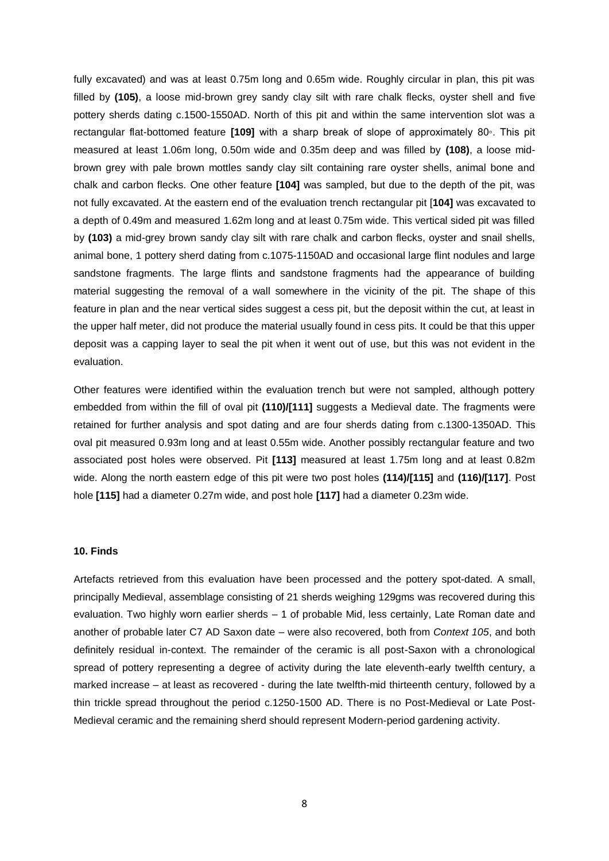fully excavated) and was at least 0.75m long and 0.65m wide. Roughly circular in plan, this pit was filled by **(105)**, a loose mid-brown grey sandy clay silt with rare chalk flecks, oyster shell and five pottery sherds dating c.1500-1550AD. North of this pit and within the same intervention slot was a rectangular flat-bottomed feature **[109]** with a sharp break of slope of approximately 80◦. This pit measured at least 1.06m long, 0.50m wide and 0.35m deep and was filled by **(108)**, a loose midbrown grey with pale brown mottles sandy clay silt containing rare oyster shells, animal bone and chalk and carbon flecks. One other feature **[104]** was sampled, but due to the depth of the pit, was not fully excavated. At the eastern end of the evaluation trench rectangular pit [**104]** was excavated to a depth of 0.49m and measured 1.62m long and at least 0.75m wide. This vertical sided pit was filled by **(103)** a mid-grey brown sandy clay silt with rare chalk and carbon flecks, oyster and snail shells, animal bone, 1 pottery sherd dating from c.1075-1150AD and occasional large flint nodules and large sandstone fragments. The large flints and sandstone fragments had the appearance of building material suggesting the removal of a wall somewhere in the vicinity of the pit. The shape of this feature in plan and the near vertical sides suggest a cess pit, but the deposit within the cut, at least in the upper half meter, did not produce the material usually found in cess pits. It could be that this upper deposit was a capping layer to seal the pit when it went out of use, but this was not evident in the evaluation.

Other features were identified within the evaluation trench but were not sampled, although pottery embedded from within the fill of oval pit **(110)/[111]** suggests a Medieval date. The fragments were retained for further analysis and spot dating and are four sherds dating from c.1300-1350AD. This oval pit measured 0.93m long and at least 0.55m wide. Another possibly rectangular feature and two associated post holes were observed. Pit **[113]** measured at least 1.75m long and at least 0.82m wide. Along the north eastern edge of this pit were two post holes **(114)/[115]** and **(116)/[117]**. Post hole **[115]** had a diameter 0.27m wide, and post hole **[117]** had a diameter 0.23m wide.

#### **10. Finds**

Artefacts retrieved from this evaluation have been processed and the pottery spot-dated. A small, principally Medieval, assemblage consisting of 21 sherds weighing 129gms was recovered during this evaluation. Two highly worn earlier sherds – 1 of probable Mid, less certainly, Late Roman date and another of probable later C7 AD Saxon date – were also recovered, both from *Context 105*, and both definitely residual in-context. The remainder of the ceramic is all post-Saxon with a chronological spread of pottery representing a degree of activity during the late eleventh-early twelfth century, a marked increase – at least as recovered - during the late twelfth-mid thirteenth century, followed by a thin trickle spread throughout the period c.1250-1500 AD. There is no Post-Medieval or Late Post-Medieval ceramic and the remaining sherd should represent Modern-period gardening activity.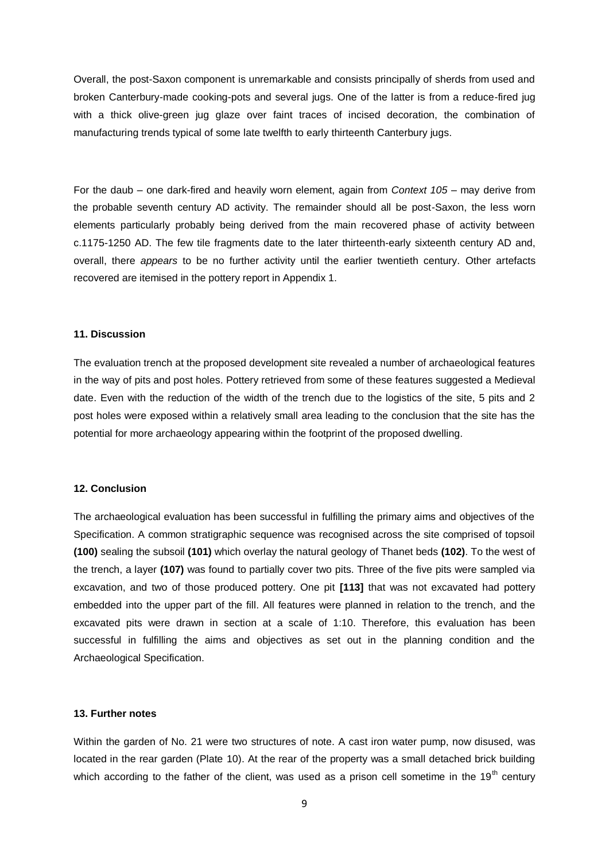Overall, the post-Saxon component is unremarkable and consists principally of sherds from used and broken Canterbury-made cooking-pots and several jugs. One of the latter is from a reduce-fired jug with a thick olive-green jug glaze over faint traces of incised decoration, the combination of manufacturing trends typical of some late twelfth to early thirteenth Canterbury jugs.

For the daub – one dark-fired and heavily worn element, again from *Context 105* – may derive from the probable seventh century AD activity. The remainder should all be post-Saxon, the less worn elements particularly probably being derived from the main recovered phase of activity between c.1175-1250 AD. The few tile fragments date to the later thirteenth-early sixteenth century AD and, overall, there *appears* to be no further activity until the earlier twentieth century. Other artefacts recovered are itemised in the pottery report in Appendix 1.

#### **11. Discussion**

The evaluation trench at the proposed development site revealed a number of archaeological features in the way of pits and post holes. Pottery retrieved from some of these features suggested a Medieval date. Even with the reduction of the width of the trench due to the logistics of the site, 5 pits and 2 post holes were exposed within a relatively small area leading to the conclusion that the site has the potential for more archaeology appearing within the footprint of the proposed dwelling.

#### **12. Conclusion**

The archaeological evaluation has been successful in fulfilling the primary aims and objectives of the Specification. A common stratigraphic sequence was recognised across the site comprised of topsoil **(100)** sealing the subsoil **(101)** which overlay the natural geology of Thanet beds **(102)**. To the west of the trench, a layer **(107)** was found to partially cover two pits. Three of the five pits were sampled via excavation, and two of those produced pottery. One pit **[113]** that was not excavated had pottery embedded into the upper part of the fill. All features were planned in relation to the trench, and the excavated pits were drawn in section at a scale of 1:10. Therefore, this evaluation has been successful in fulfilling the aims and objectives as set out in the planning condition and the Archaeological Specification.

#### **13. Further notes**

Within the garden of No. 21 were two structures of note. A cast iron water pump, now disused, was located in the rear garden (Plate 10). At the rear of the property was a small detached brick building which according to the father of the client, was used as a prison cell sometime in the  $19<sup>th</sup>$  century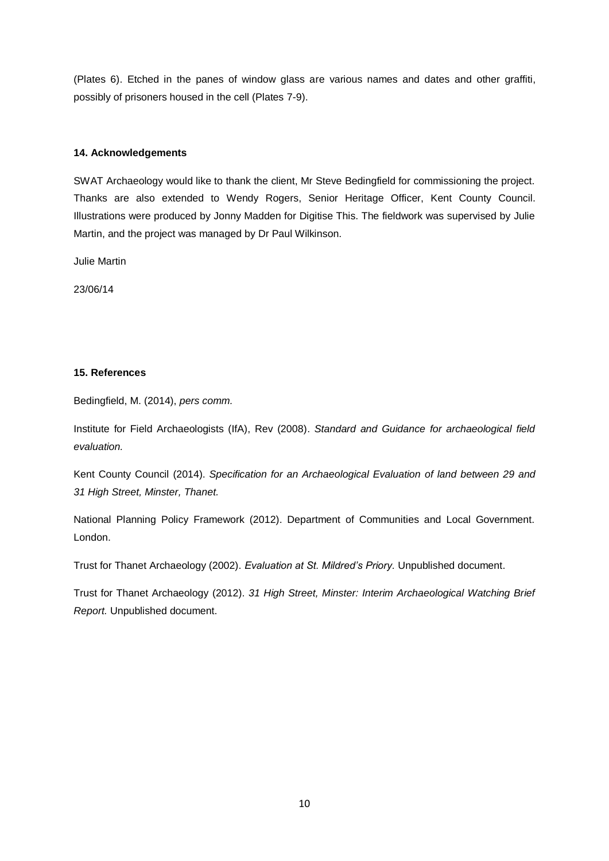(Plates 6). Etched in the panes of window glass are various names and dates and other graffiti, possibly of prisoners housed in the cell (Plates 7-9).

#### **14. Acknowledgements**

SWAT Archaeology would like to thank the client, Mr Steve Bedingfield for commissioning the project. Thanks are also extended to Wendy Rogers, Senior Heritage Officer, Kent County Council. Illustrations were produced by Jonny Madden for Digitise This. The fieldwork was supervised by Julie Martin, and the project was managed by Dr Paul Wilkinson.

Julie Martin

23/06/14

#### **15. References**

Bedingfield, M. (2014), *pers comm.* 

Institute for Field Archaeologists (IfA), Rev (2008). *Standard and Guidance for archaeological field evaluation.* 

Kent County Council (2014). *Specification for an Archaeological Evaluation of land between 29 and 31 High Street, Minster, Thanet.* 

National Planning Policy Framework (2012). Department of Communities and Local Government. London.

Trust for Thanet Archaeology (2002). *Evaluation at St. Mildred's Priory.* Unpublished document.

Trust for Thanet Archaeology (2012). *31 High Street, Minster: Interim Archaeological Watching Brief Report.* Unpublished document.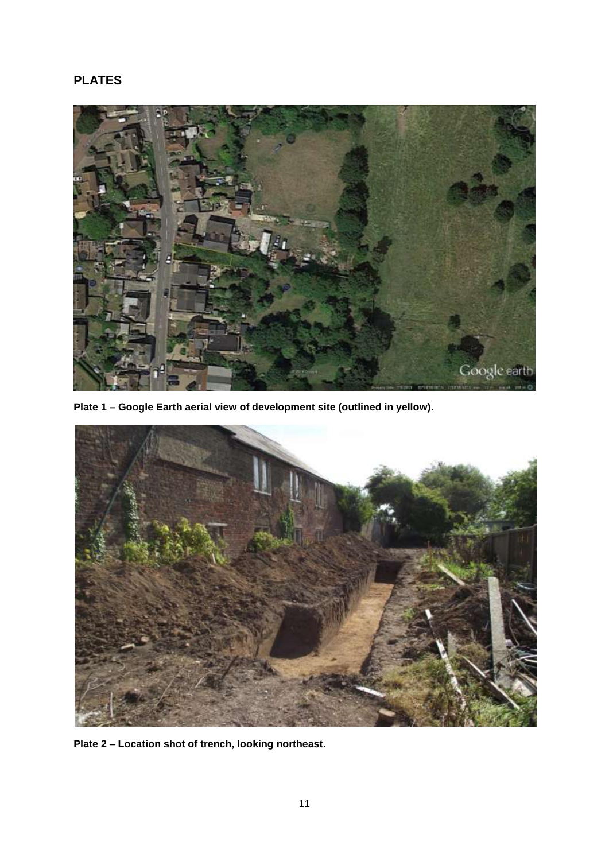# **PLATES**



**Plate 1 – Google Earth aerial view of development site (outlined in yellow).** 



**Plate 2 – Location shot of trench, looking northeast.**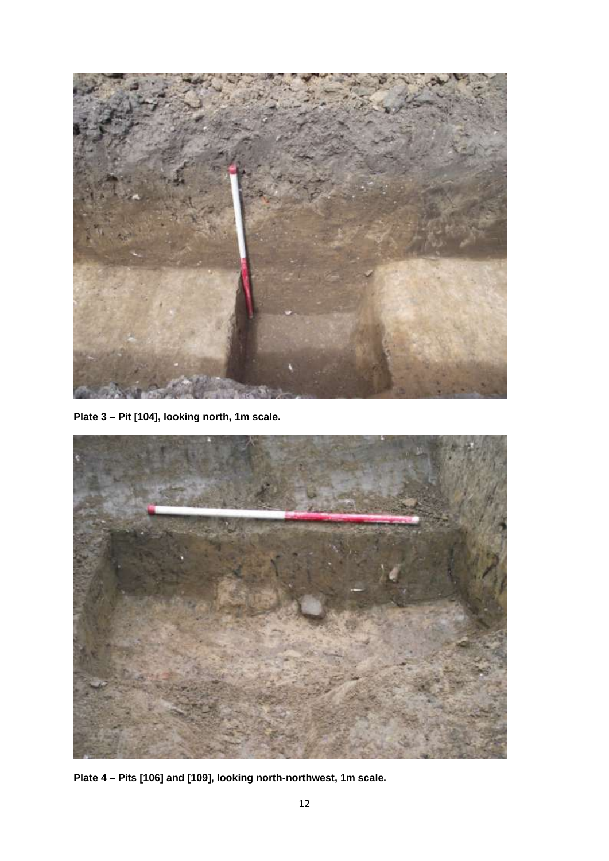

**Plate 3 – Pit [104], looking north, 1m scale.** 



**Plate 4 – Pits [106] and [109], looking north-northwest, 1m scale.**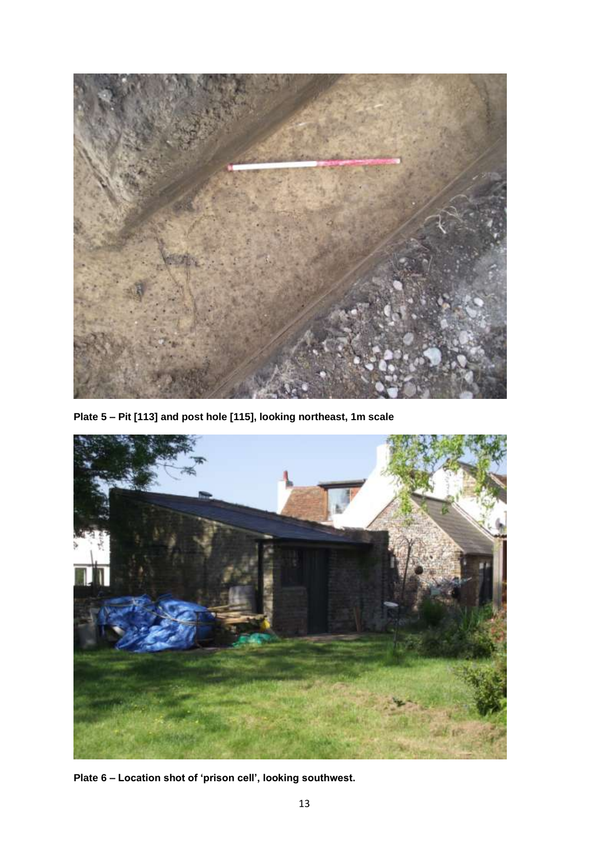

**Plate 5 – Pit [113] and post hole [115], looking northeast, 1m scale** 



**Plate 6 – Location shot of 'prison cell', looking southwest.**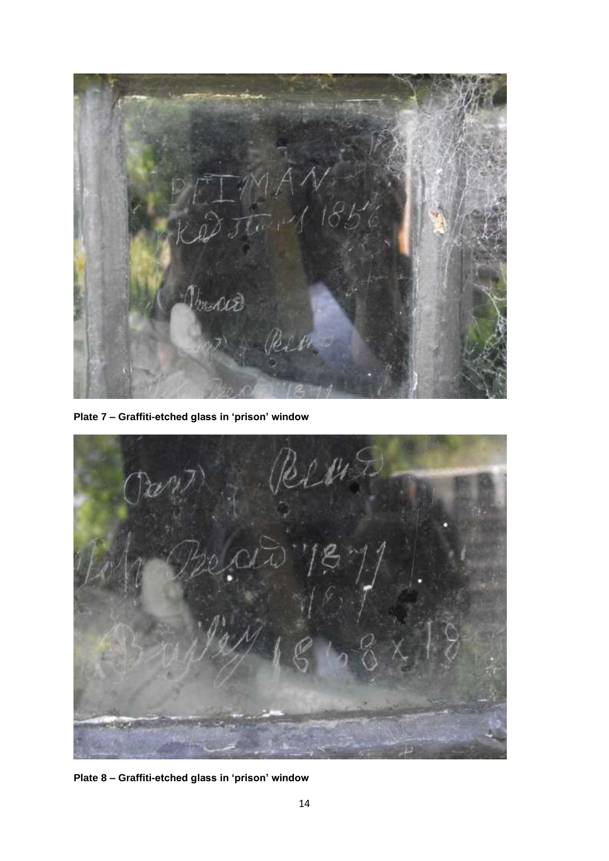

**Plate 7 – Graffiti-etched glass in 'prison' window**



**Plate 8 – Graffiti-etched glass in 'prison' window**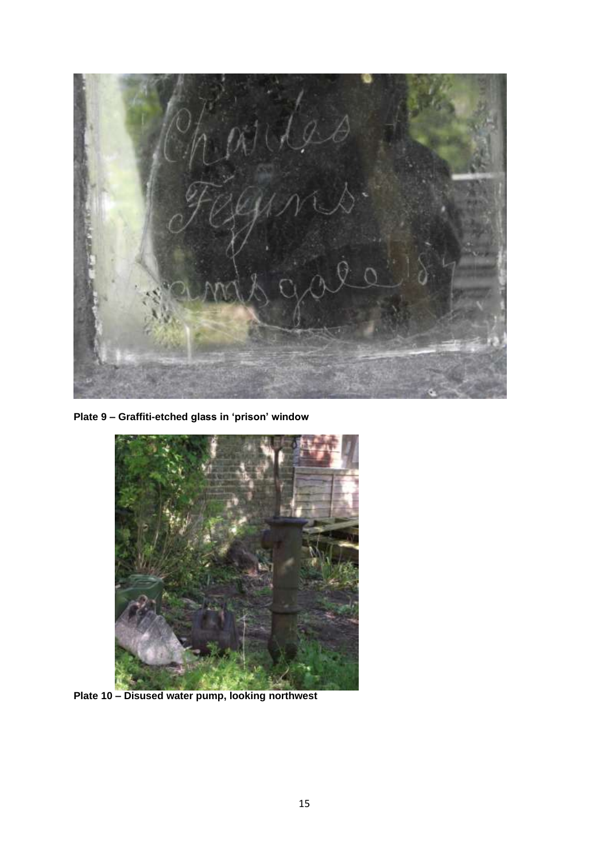

**Plate 9 – Graffiti-etched glass in 'prison' window**



**Plate 10 – Disused water pump, looking northwest**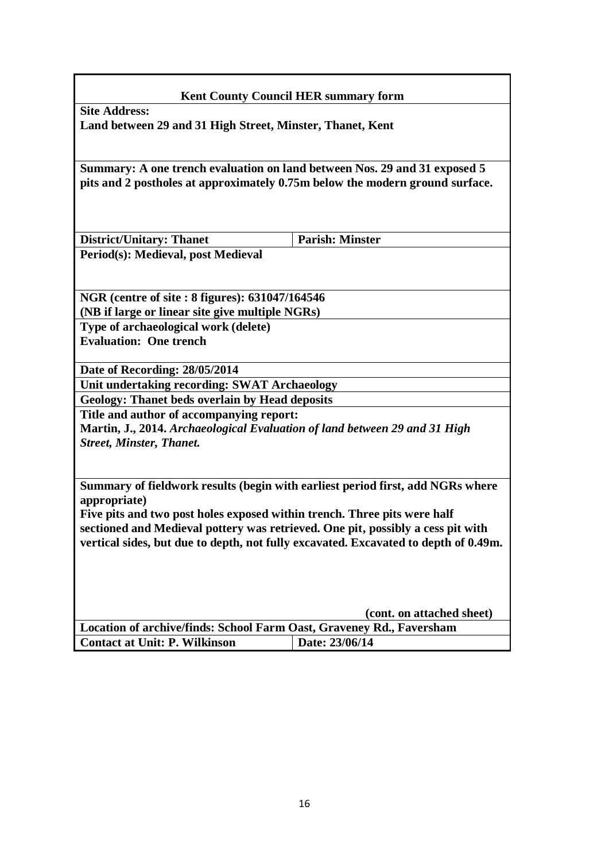# **Kent County Council HER summary form Site Address: Land between 29 and 31 High Street, Minster, Thanet, Kent Summary: A one trench evaluation on land between Nos. 29 and 31 exposed 5 pits and 2 postholes at approximately 0.75m below the modern ground surface. District/Unitary: Thanet Parish: Minster Period(s): Medieval, post Medieval NGR (centre of site : 8 figures): 631047/164546 (NB if large or linear site give multiple NGRs) Type of archaeological work (delete) Evaluation: One trench Date of Recording: 28/05/2014 Unit undertaking recording: SWAT Archaeology Geology: Thanet beds overlain by Head deposits Title and author of accompanying report: Martin, J., 2014.** *Archaeological Evaluation of land between 29 and 31 High Street, Minster, Thanet.* **Summary of fieldwork results (begin with earliest period first, add NGRs where appropriate) Five pits and two post holes exposed within trench. Three pits were half sectioned and Medieval pottery was retrieved. One pit, possibly a cess pit with vertical sides, but due to depth, not fully excavated. Excavated to depth of 0.49m. (cont. on attached sheet) Location of archive/finds: School Farm Oast, Graveney Rd., Faversham Contact at Unit: P. Wilkinson** | Date: 23/06/14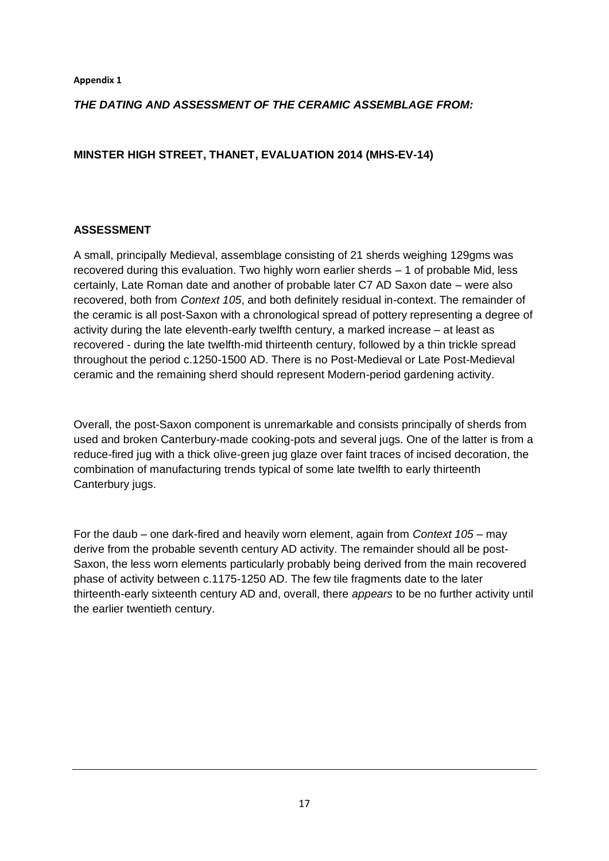## *THE DATING AND ASSESSMENT OF THE CERAMIC ASSEMBLAGE FROM:*

## **MINSTER HIGH STREET, THANET, EVALUATION 2014 (MHS-EV-14)**

## **ASSESSMENT**

A small, principally Medieval, assemblage consisting of 21 sherds weighing 129gms was recovered during this evaluation. Two highly worn earlier sherds – 1 of probable Mid, less certainly, Late Roman date and another of probable later C7 AD Saxon date – were also recovered, both from *Context 105*, and both definitely residual in-context. The remainder of the ceramic is all post-Saxon with a chronological spread of pottery representing a degree of activity during the late eleventh-early twelfth century, a marked increase – at least as recovered - during the late twelfth-mid thirteenth century, followed by a thin trickle spread throughout the period c.1250-1500 AD. There is no Post-Medieval or Late Post-Medieval ceramic and the remaining sherd should represent Modern-period gardening activity.

Overall, the post-Saxon component is unremarkable and consists principally of sherds from used and broken Canterbury-made cooking-pots and several jugs. One of the latter is from a reduce-fired jug with a thick olive-green jug glaze over faint traces of incised decoration, the combination of manufacturing trends typical of some late twelfth to early thirteenth Canterbury jugs.

For the daub – one dark-fired and heavily worn element, again from *Context 105* – may derive from the probable seventh century AD activity. The remainder should all be post-Saxon, the less worn elements particularly probably being derived from the main recovered phase of activity between c.1175-1250 AD. The few tile fragments date to the later thirteenth-early sixteenth century AD and, overall, there *appears* to be no further activity until the earlier twentieth century.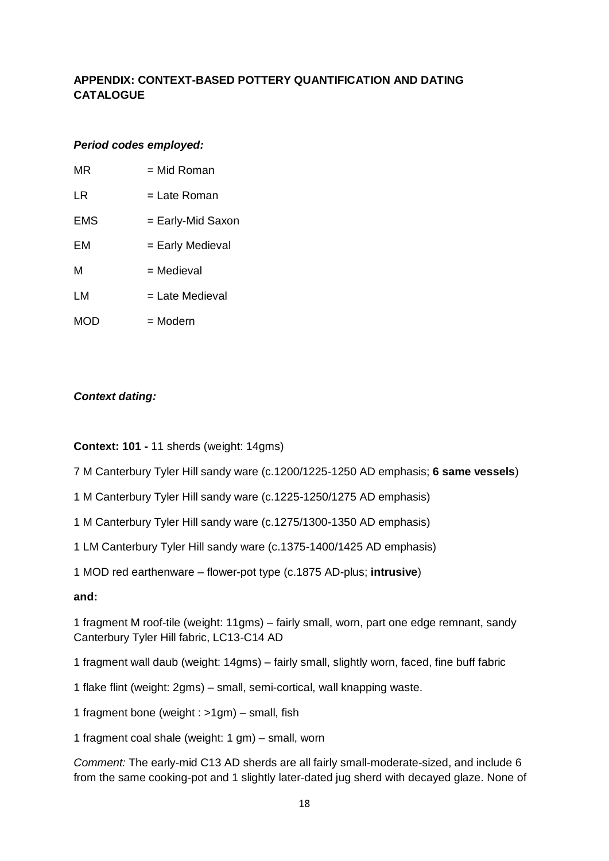# **APPENDIX: CONTEXT-BASED POTTERY QUANTIFICATION AND DATING CATALOGUE**

## *Period codes employed:*

| MR  | = Mid Roman       |
|-----|-------------------|
| LR  | = Late Roman      |
| EMS | = Early-Mid Saxon |
| FМ  | = Early Medieval  |
| м   | = Medieval        |
| LM  | = Late Medieval   |
| MOD | = Modern          |
|     |                   |

# *Context dating:*

**Context: 101 -** 11 sherds (weight: 14gms)

7 M Canterbury Tyler Hill sandy ware (c.1200/1225-1250 AD emphasis; **6 same vessels**)

1 M Canterbury Tyler Hill sandy ware (c.1225-1250/1275 AD emphasis)

1 M Canterbury Tyler Hill sandy ware (c.1275/1300-1350 AD emphasis)

1 LM Canterbury Tyler Hill sandy ware (c.1375-1400/1425 AD emphasis)

1 MOD red earthenware – flower-pot type (c.1875 AD-plus; **intrusive**)

## **and:**

1 fragment M roof-tile (weight: 11gms) – fairly small, worn, part one edge remnant, sandy Canterbury Tyler Hill fabric, LC13-C14 AD

1 fragment wall daub (weight: 14gms) – fairly small, slightly worn, faced, fine buff fabric

1 flake flint (weight: 2gms) – small, semi-cortical, wall knapping waste.

1 fragment bone (weight : >1gm) – small, fish

1 fragment coal shale (weight: 1 gm) – small, worn

*Comment:* The early-mid C13 AD sherds are all fairly small-moderate-sized, and include 6 from the same cooking-pot and 1 slightly later-dated jug sherd with decayed glaze. None of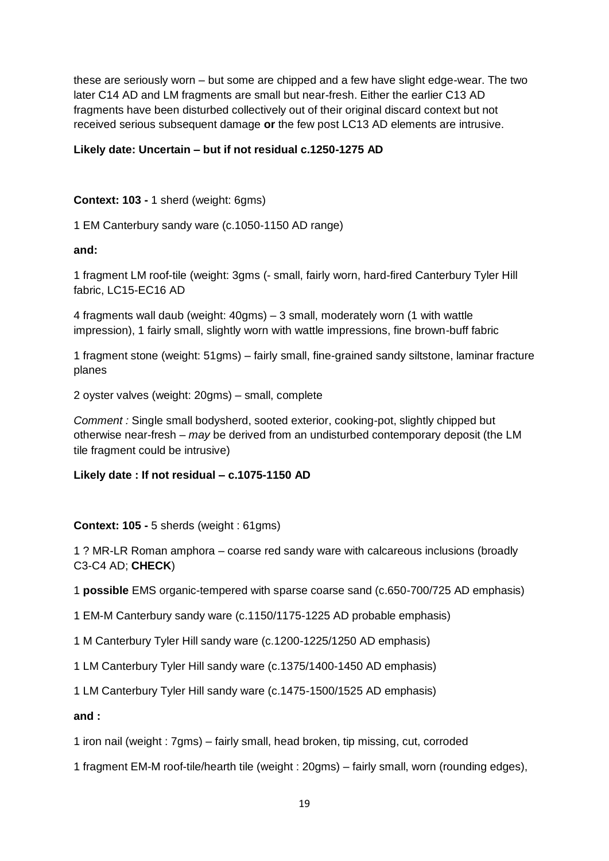these are seriously worn – but some are chipped and a few have slight edge-wear. The two later C14 AD and LM fragments are small but near-fresh. Either the earlier C13 AD fragments have been disturbed collectively out of their original discard context but not received serious subsequent damage **or** the few post LC13 AD elements are intrusive.

## **Likely date: Uncertain – but if not residual c.1250-1275 AD**

**Context: 103 -** 1 sherd (weight: 6gms)

1 EM Canterbury sandy ware (c.1050-1150 AD range)

**and:**

1 fragment LM roof-tile (weight: 3gms (- small, fairly worn, hard-fired Canterbury Tyler Hill fabric, LC15-EC16 AD

4 fragments wall daub (weight: 40gms) – 3 small, moderately worn (1 with wattle impression), 1 fairly small, slightly worn with wattle impressions, fine brown-buff fabric

1 fragment stone (weight: 51gms) – fairly small, fine-grained sandy siltstone, laminar fracture planes

2 oyster valves (weight: 20gms) – small, complete

*Comment :* Single small bodysherd, sooted exterior, cooking-pot, slightly chipped but otherwise near-fresh – *may* be derived from an undisturbed contemporary deposit (the LM tile fragment could be intrusive)

## **Likely date : If not residual – c.1075-1150 AD**

## **Context: 105 -** 5 sherds (weight : 61gms)

1 ? MR-LR Roman amphora – coarse red sandy ware with calcareous inclusions (broadly C3-C4 AD; **CHECK**)

1 **possible** EMS organic-tempered with sparse coarse sand (c.650-700/725 AD emphasis)

1 EM-M Canterbury sandy ware (c.1150/1175-1225 AD probable emphasis)

1 M Canterbury Tyler Hill sandy ware (c.1200-1225/1250 AD emphasis)

1 LM Canterbury Tyler Hill sandy ware (c.1375/1400-1450 AD emphasis)

1 LM Canterbury Tyler Hill sandy ware (c.1475-1500/1525 AD emphasis)

**and :** 

1 iron nail (weight : 7gms) – fairly small, head broken, tip missing, cut, corroded

1 fragment EM-M roof-tile/hearth tile (weight : 20gms) – fairly small, worn (rounding edges),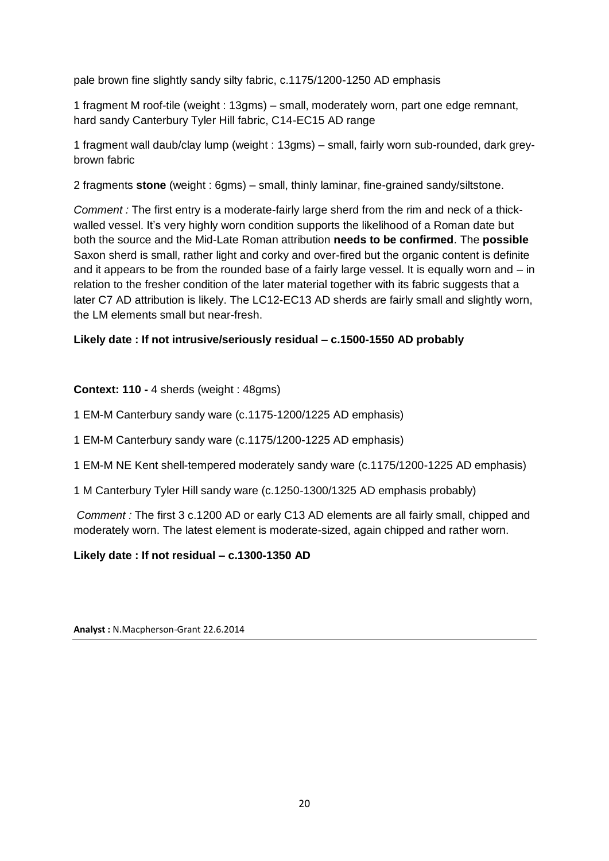pale brown fine slightly sandy silty fabric, c.1175/1200-1250 AD emphasis

1 fragment M roof-tile (weight : 13gms) – small, moderately worn, part one edge remnant, hard sandy Canterbury Tyler Hill fabric, C14-EC15 AD range

1 fragment wall daub/clay lump (weight : 13gms) – small, fairly worn sub-rounded, dark greybrown fabric

2 fragments **stone** (weight : 6gms) – small, thinly laminar, fine-grained sandy/siltstone.

*Comment :* The first entry is a moderate-fairly large sherd from the rim and neck of a thickwalled vessel. It's very highly worn condition supports the likelihood of a Roman date but both the source and the Mid-Late Roman attribution **needs to be confirmed**. The **possible**  Saxon sherd is small, rather light and corky and over-fired but the organic content is definite and it appears to be from the rounded base of a fairly large vessel. It is equally worn and – in relation to the fresher condition of the later material together with its fabric suggests that a later C7 AD attribution is likely. The LC12-EC13 AD sherds are fairly small and slightly worn, the LM elements small but near-fresh.

# **Likely date : If not intrusive/seriously residual – c.1500-1550 AD probably**

# **Context: 110 - 4 sherds (weight: 48gms)**

1 EM-M Canterbury sandy ware (c.1175-1200/1225 AD emphasis)

1 EM-M Canterbury sandy ware (c.1175/1200-1225 AD emphasis)

1 EM-M NE Kent shell-tempered moderately sandy ware (c.1175/1200-1225 AD emphasis)

1 M Canterbury Tyler Hill sandy ware (c.1250-1300/1325 AD emphasis probably)

*Comment :* The first 3 c.1200 AD or early C13 AD elements are all fairly small, chipped and moderately worn. The latest element is moderate-sized, again chipped and rather worn.

## **Likely date : If not residual – c.1300-1350 AD**

**Analyst :** N.Macpherson-Grant 22.6.2014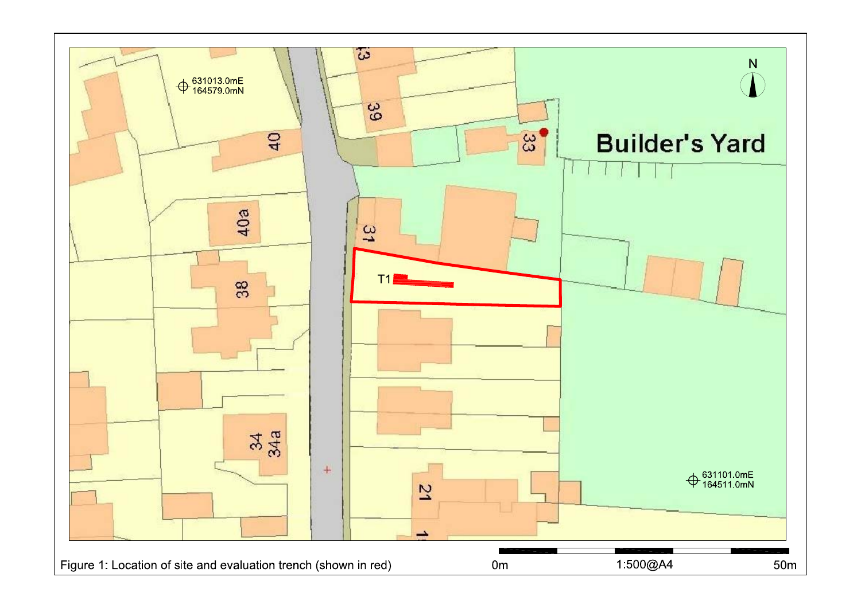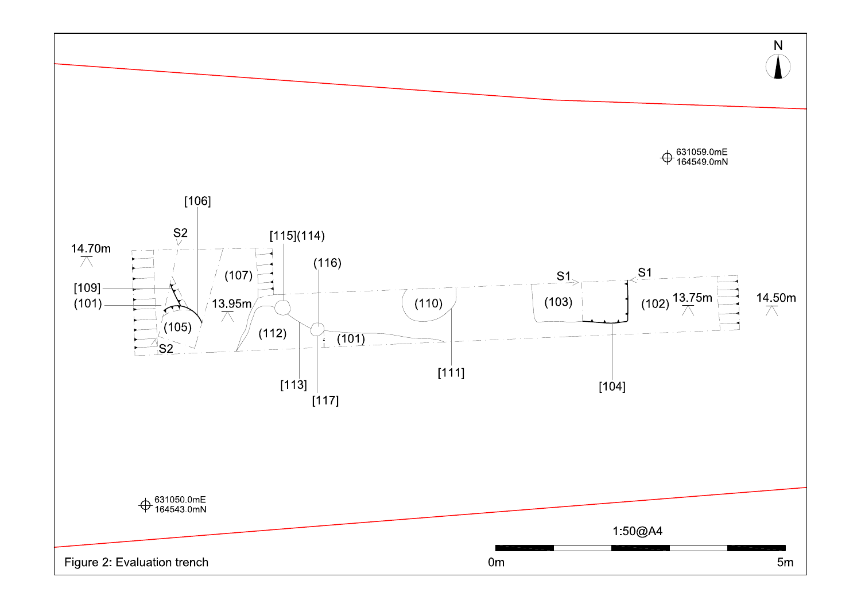